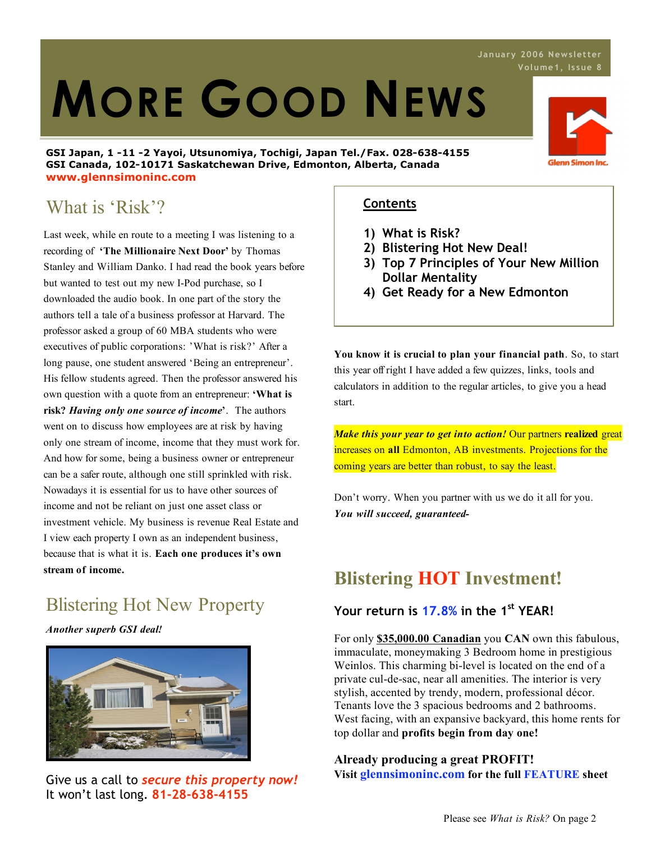# **MORE GOOD NEWS**

**GSI Japan, 1 -11 -2 Yayoi, Utsunomiya, Tochigi, Japan Tel./Fax. 028-638-4155 GSI Canada, 102-10171 Saskatchewan Drive, Edmonton, Alberta, Canada www.glennsimoninc.com**

## What is 'Risk'?

Last week, while en route to a meeting I was listening to a recording of **'The Millionaire Next Door'** by Thomas Stanley and William Danko. I had read the book years before but wanted to test out my new I-Pod purchase, so I downloaded the audio book. In one part of the story the authors tell a tale of a business professor at Harvard. The professor asked a group of 60 MBA students who were executives of public corporations: 'What is risk?' After a long pause, one student answered 'Being an entrepreneur'. His fellow students agreed. Then the professor answered his own question with a quote from an entrepreneur: **'What is risk?** *Having only one source of income***'**. The authors went on to discuss how employees are at risk by having only one stream of income, income that they must work for. And how for some, being a business owner or entrepreneur can be a safer route, although one still sprinkled with risk. Nowadays it is essential for us to have other sources of income and not be reliant on just one asset class or investment vehicle. My business is revenue Real Estate and I view each property I own as an independent business, because that is what it is. **Each one produces it's own stream of income.**

## Blistering Hot New Property

*Another superb GSI deal!*



Give us a call to *secure this property now!* It won't last long. **81-28-638-4155**

#### **Contents**

- **1) What is Risk?**
- **2) Blistering Hot New Deal!**
- **3) Top 7 Principles of Your New Million Dollar Mentality**
- **4) Get Ready for a New Edmonton**

**You know it is crucial to plan your financial path**. So, to start this year off right I have added a few quizzes, links, tools and calculators in addition to the regular articles, to give you a head start.

*Make this your year to get into action!* Our partners **realized** great increases on **all** Edmonton, AB investments. Projections for the coming years are better than robust, to say the least.

Don't worry. When you partner with us we do it all for you. *You will succeed, guaranteed-*

## **Blistering HOT Investment!**

#### **Your return is 17.8% in the 1st YEAR!**

For only **\$35,000.00 Canadian** you **CAN** own this fabulous, immaculate, moneymaking 3 Bedroom home in prestigious Weinlos. This charming bi-level is located on the end of a private cul-de-sac, near all amenities. The interior is very stylish, accented by trendy, modern, professional décor. Tenants love the 3 spacious bedrooms and 2 bathrooms. West facing, with an expansive backyard, this home rents for top dollar and **profits begin from day one!**

#### **Already producing a great PROFIT! Visit glennsimoninc.com for the full FEATURE sheet**



**J anua ry 2006 News letter**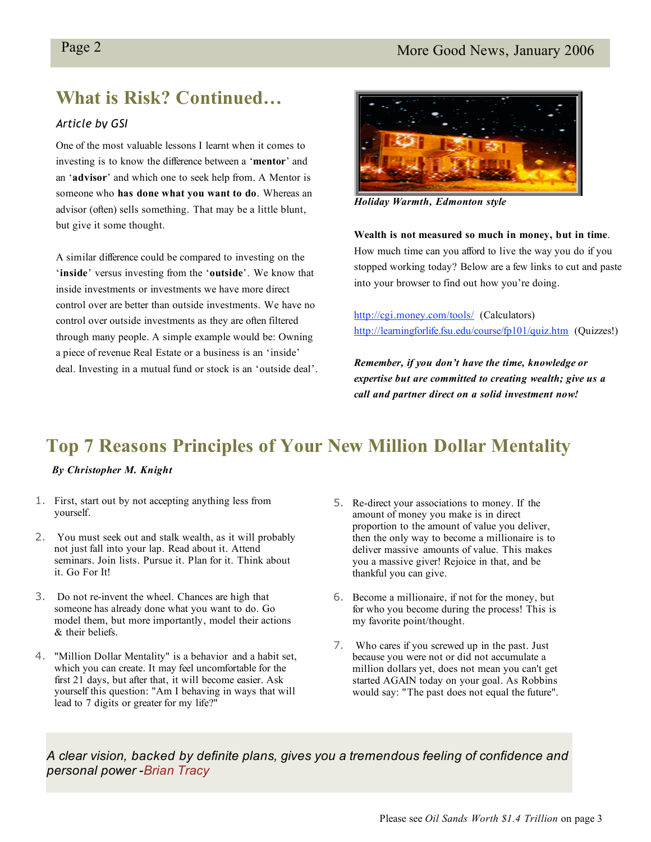### **What is Risk? Continued…**

#### *Article by GSI*

One of the most valuable lessons I learnt when it comes to investing is to know the difference between a '**mentor**' and an '**advisor**' and which one to seek help from. A Mentor is someone who **has done what you want to do**. Whereas an advisor (often) sells something. That may be a little blunt, but give it some thought.

A similar difference could be compared to investing on the '**inside**' versus investing from the '**outside**'. We know that inside investments or investments we have more direct control over are better than outside investments. We have no control over outside investments as they are often filtered through many people. A simple example would be: Owning a piece of revenue Real Estate or a business is an 'inside' deal. Investing in a mutual fund or stock is an 'outside deal'.



*Holiday Warmth, Edmonton style*

**Wealth is not measured so much in money, but in time**. How much time can you afford to live the way you do if you stopped working today? Below are a few links to cut and paste into your browser to find out how you're doing.

http://cgi.money.com/tools/ (Calculators) http://learningforlife.fsu.edu/course/fp101/quiz.htm (Quizzes!)

*Remember, if you don't have the time, knowledge or expertise but are committed to creating wealth; give us a call and partner direct on a solid investment now!*

## **Top 7 Reasons Principles of Your New Million Dollar Mentality**

#### *By Christopher M. Knight*

- 1. First, start out by not accepting anything less from yourself.
- 2. You must seek out and stalk wealth, as it will probably not just fall into your lap. Read about it. Attend seminars. Join lists. Pursue it. Plan for it. Think about it. Go For It!
- 3. Do not re-invent the wheel. Chances are high that someone has already done what you want to do. Go model them, but more importantly, model their actions & their beliefs.
- 4. "Million Dollar Mentality" is a behavior and a habit set, which you can create. It may feel uncomfortable for the first 21 days, but after that, it will become easier. Ask yourself this question: "Am I behaving in ways that will lead to 7 digits or greater for my life?"
- 5. Re-direct your associations to money. If the amount of money you make is in direct proportion to the amount of value you deliver, then the only way to become a millionaire is to deliver massive amounts of value. This makes you a massive giver! Rejoice in that, and be thankful you can give.
- 6. Become a millionaire, if not for the money, but for who you become during the process! This is my favorite point/thought.
- 7. Who cares if you screwed up in the past. Just because you were not or did not accumulate a million dollars yet, does not mean you can't get started AGAIN today on your goal. As Robbins would say: "The past does not equal the future".

*A clear vision, backed by definite plans, gives you a tremendous feeling of confidence and personal power* -*Brian Tracy*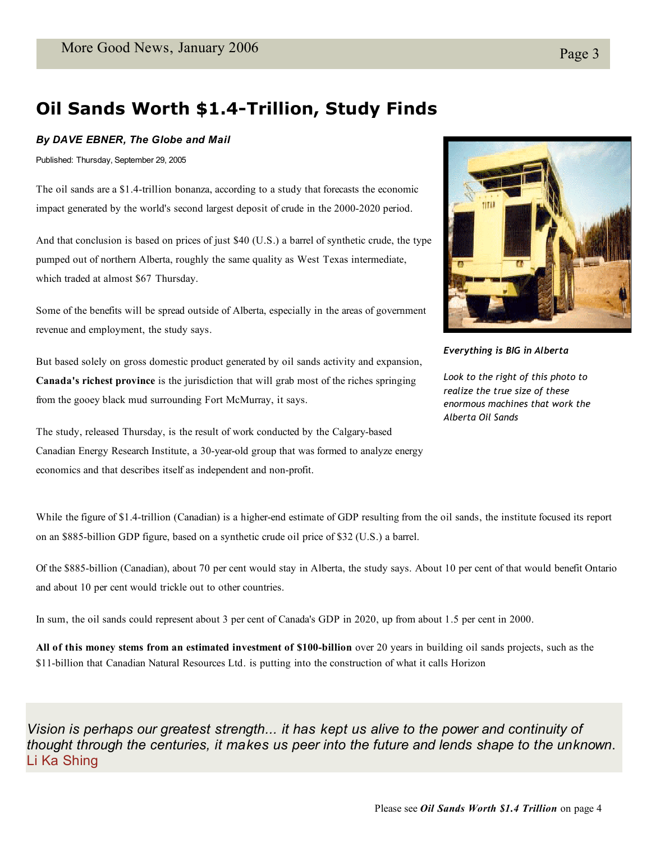## **Oil Sands Worth \$1.4-Trillion, Study Finds**

#### *By DAVE EBNER, The Globe and Mail*

Published: Thursday, September 29, 2005

The oil sands are a \$1.4-trillion bonanza, according to a study that forecasts the economic impact generated by the world's second largest deposit of crude in the 2000-2020 period.

And that conclusion is based on prices of just \$40 (U.S.) a barrel of synthetic crude, the type pumped out of northern Alberta, roughly the same quality as West Texas intermediate, which traded at almost \$67 Thursday.

Some of the benefits will be spread outside of Alberta, especially in the areas of government revenue and employment, the study says.

But based solely on gross domestic product generated by oil sands activity and expansion, **Canada's richest province** is the jurisdiction that will grab most of the riches springing from the gooey black mud surrounding Fort McMurray, it says.

The study, released Thursday, is the result of work conducted by the Calgary-based Canadian Energy Research Institute, a 30-year-old group that was formed to analyze energy economics and that describes itself as independent and non-profit.



*Everything is BIG in Alberta*

*Look to the right of this photo to realize the true size of these enormous machines that work the Alberta Oil Sands*

While the figure of \$1.4-trillion (Canadian) is a higher-end estimate of GDP resulting from the oil sands, the institute focused its report on an \$885-billion GDP figure, based on a synthetic crude oil price of \$32 (U.S.) a barrel.

Of the \$885-billion (Canadian), about 70 per cent would stay in Alberta, the study says. About 10 per cent of that would benefit Ontario and about 10 per cent would trickle out to other countries.

In sum, the oil sands could represent about 3 per cent of Canada's GDP in 2020, up from about 1.5 per cent in 2000.

**All of this money stems from an estimated investment of \$100-billion** over 20 years in building oil sands projects, such as the \$11-billion that Canadian Natural Resources Ltd. is putting into the construction of what it calls Horizon

*Vision is perhaps our greatest strength... it has kept us alive to the power and continuity of thought through the centuries, it makes us peer into the future and lends shape to the unknown*. Li Ka Shing